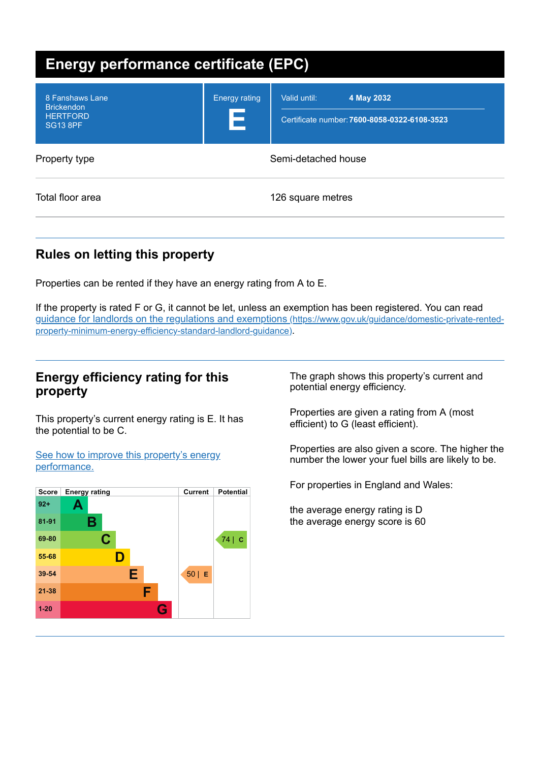| <b>Energy performance certificate (EPC)</b>                                |                           |                                                                            |
|----------------------------------------------------------------------------|---------------------------|----------------------------------------------------------------------------|
| 8 Fanshaws Lane<br><b>Brickendon</b><br><b>HERTFORD</b><br><b>SG13 8PF</b> | <b>Energy rating</b><br>Е | 4 May 2032<br>Valid until:<br>Certificate number: 7600-8058-0322-6108-3523 |
| Property type                                                              | Semi-detached house       |                                                                            |
| Total floor area                                                           |                           | 126 square metres                                                          |

# **Rules on letting this property**

Properties can be rented if they have an energy rating from A to E.

If the property is rated F or G, it cannot be let, unless an exemption has been registered. You can read guidance for landlords on the regulations and exemptions (https://www.gov.uk/guidance/domestic-private-rented[property-minimum-energy-efficiency-standard-landlord-guidance\)](https://www.gov.uk/guidance/domestic-private-rented-property-minimum-energy-efficiency-standard-landlord-guidance).

## **Energy efficiency rating for this property**

This property's current energy rating is E. It has the potential to be C.

See how to improve this property's energy [performance.](#page-2-0)



The graph shows this property's current and potential energy efficiency.

Properties are given a rating from A (most efficient) to G (least efficient).

Properties are also given a score. The higher the number the lower your fuel bills are likely to be.

For properties in England and Wales:

the average energy rating is D the average energy score is 60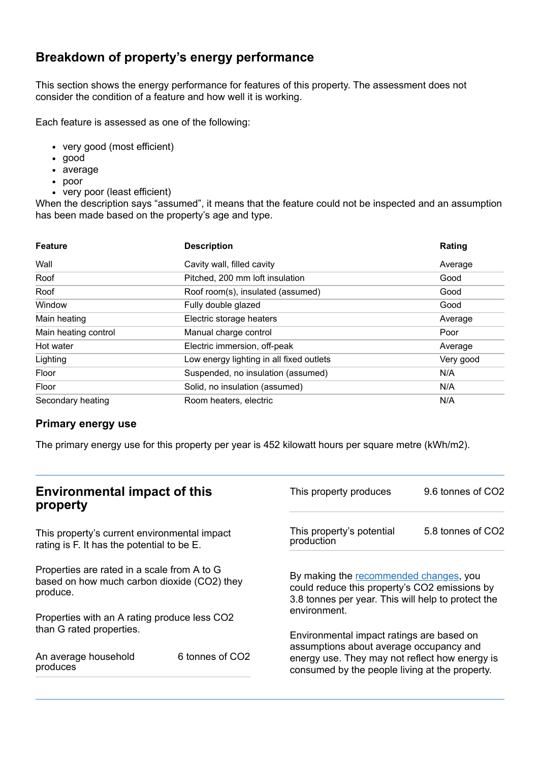# **Breakdown of property's energy performance**

This section shows the energy performance for features of this property. The assessment does not consider the condition of a feature and how well it is working.

Each feature is assessed as one of the following:

- very good (most efficient)
- good
- average
- poor
- very poor (least efficient)

When the description says "assumed", it means that the feature could not be inspected and an assumption has been made based on the property's age and type.

| <b>Feature</b>       | <b>Description</b>                       | Rating    |
|----------------------|------------------------------------------|-----------|
| Wall                 | Cavity wall, filled cavity               | Average   |
| Roof                 | Pitched, 200 mm loft insulation          | Good      |
| Roof                 | Roof room(s), insulated (assumed)        | Good      |
| Window               | Fully double glazed                      | Good      |
| Main heating         | Electric storage heaters                 | Average   |
| Main heating control | Manual charge control                    | Poor      |
| Hot water            | Electric immersion, off-peak             | Average   |
| Lighting             | Low energy lighting in all fixed outlets | Very good |
| Floor                | Suspended, no insulation (assumed)       | N/A       |
| Floor                | Solid, no insulation (assumed)           | N/A       |
| Secondary heating    | Room heaters, electric                   | N/A       |

### **Primary energy use**

The primary energy use for this property per year is 452 kilowatt hours per square metre (kWh/m2).

| <b>Environmental impact of this</b><br>property                                                        |                 | This property produces                                                                                                                        | 9.6 tonnes of CO2 |
|--------------------------------------------------------------------------------------------------------|-----------------|-----------------------------------------------------------------------------------------------------------------------------------------------|-------------------|
| This property's current environmental impact<br>rating is F. It has the potential to be E.             |                 | This property's potential<br>production                                                                                                       | 5.8 tonnes of CO2 |
| Properties are rated in a scale from A to G<br>based on how much carbon dioxide (CO2) they<br>produce. |                 | By making the recommended changes, you<br>could reduce this property's CO2 emissions by<br>3.8 tonnes per year. This will help to protect the |                   |
| Properties with an A rating produce less CO2                                                           |                 | environment.                                                                                                                                  |                   |
| than G rated properties.<br>An average household                                                       | 6 tonnes of CO2 | Environmental impact ratings are based on<br>assumptions about average occupancy and                                                          |                   |
| produces                                                                                               |                 | energy use. They may not reflect how energy is<br>consumed by the people living at the property.                                              |                   |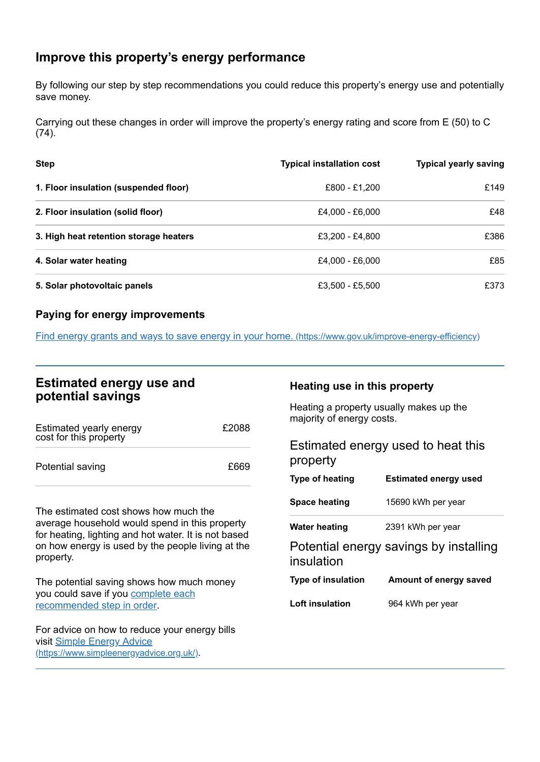# <span id="page-2-0"></span>**Improve this property's energy performance**

By following our step by step recommendations you could reduce this property's energy use and potentially save money.

Carrying out these changes in order will improve the property's energy rating and score from E (50) to C (74).

| <b>Step</b>                            | <b>Typical installation cost</b> | <b>Typical yearly saving</b> |
|----------------------------------------|----------------------------------|------------------------------|
| 1. Floor insulation (suspended floor)  | £800 - £1,200                    | £149                         |
| 2. Floor insulation (solid floor)      | £4,000 - £6,000                  | £48                          |
| 3. High heat retention storage heaters | £3,200 - £4,800                  | £386                         |
| 4. Solar water heating                 | £4,000 - £6,000                  | £85                          |
| 5. Solar photovoltaic panels           | £3,500 - £5,500                  | £373                         |

#### **Paying for energy improvements**

Find energy grants and ways to save energy in your home. [\(https://www.gov.uk/improve-energy-efficiency\)](https://www.gov.uk/improve-energy-efficiency)

## **Estimated energy use and potential savings**

| Estimated yearly energy<br>cost for this property | £2088 |
|---------------------------------------------------|-------|
| Potential saving                                  | £669  |

The estimated cost shows how much the average household would spend in this property for heating, lighting and hot water. It is not based on how energy is used by the people living at the property.

The potential saving shows how much money you could save if you complete each [recommended](#page-2-0) step in order.

For advice on how to reduce your energy bills visit Simple Energy Advice [\(https://www.simpleenergyadvice.org.uk/\)](https://www.simpleenergyadvice.org.uk/).

#### **Heating use in this property**

Heating a property usually makes up the majority of energy costs.

Estimated energy used to heat this property

| Type of heating      | <b>Estimated energy used</b> |
|----------------------|------------------------------|
| <b>Space heating</b> | 15690 kWh per year           |

**Water heating** 2391 kWh per year

Potential energy savings by installing insulation

| <b>Type of insulation</b> | Amount of energy saved |
|---------------------------|------------------------|
| Loft insulation           | 964 kWh per year       |